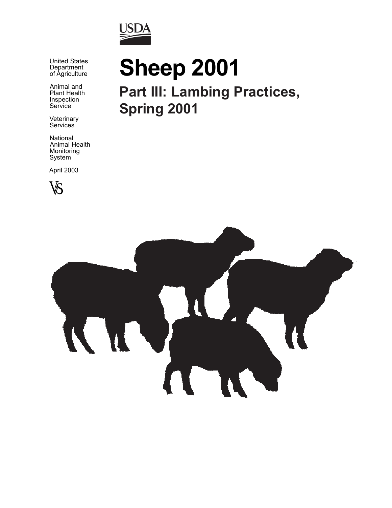

 United States Department of Agriculture

> Animal and Plant Health Inspection **Service**

 Veterinary Services

 National Animal Health Monitoring System

April 2003



# **Sheep 2001**

**Part III: Lambing Practices, Spring 2001**

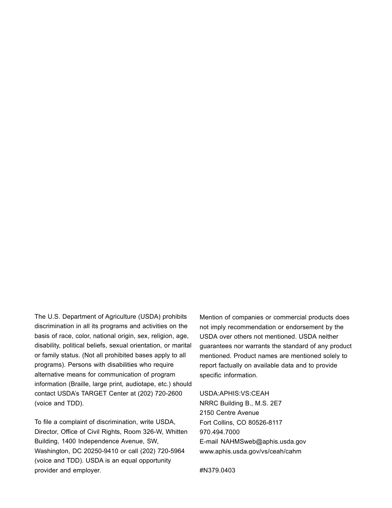The U.S. Department of Agriculture (USDA) prohibits discrimination in all its programs and activities on the basis of race, color, national origin, sex, religion, age, disability, political beliefs, sexual orientation, or marital or family status. (Not all prohibited bases apply to all programs). Persons with disabilities who require alternative means for communication of program information (Braille, large print, audiotape, etc.) should contact USDA's TARGET Center at (202) 720-2600 (voice and TDD).

To file a complaint of discrimination, write USDA, Director, Office of Civil Rights, Room 326-W, Whitten Building, 1400 Independence Avenue, SW, Washington, DC 20250-9410 or call (202) 720-5964 (voice and TDD). USDA is an equal opportunity provider and employer.

Mention of companies or commercial products does not imply recommendation or endorsement by the USDA over others not mentioned. USDA neither guarantees nor warrants the standard of any product mentioned. Product names are mentioned solely to report factually on available data and to provide specific information.

#### USDA:APHIS:VS:CEAH

NRRC Building B., M.S. 2E7 2150 Centre Avenue Fort Collins, CO 80526-8117 970.494.7000 E-mail NAHMSweb@aphis.usda.gov www.aphis.usda.gov/vs/ceah/cahm

#N379.0403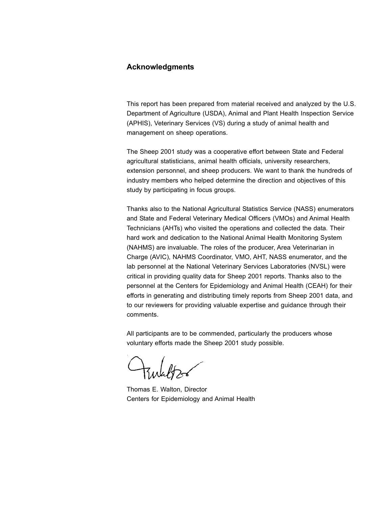#### **Acknowledgments**

This report has been prepared from material received and analyzed by the U.S. Department of Agriculture (USDA), Animal and Plant Health Inspection Service (APHIS), Veterinary Services (VS) during a study of animal health and management on sheep operations.

The Sheep 2001 study was a cooperative effort between State and Federal agricultural statisticians, animal health officials, university researchers, extension personnel, and sheep producers. We want to thank the hundreds of industry members who helped determine the direction and objectives of this study by participating in focus groups.

Thanks also to the National Agricultural Statistics Service (NASS) enumerators and State and Federal Veterinary Medical Officers (VMOs) and Animal Health Technicians (AHTs) who visited the operations and collected the data. Their hard work and dedication to the National Animal Health Monitoring System (NAHMS) are invaluable. The roles of the producer, Area Veterinarian in Charge (AVIC), NAHMS Coordinator, VMO, AHT, NASS enumerator, and the lab personnel at the National Veterinary Services Laboratories (NVSL) were critical in providing quality data for Sheep 2001 reports. Thanks also to the personnel at the Centers for Epidemiology and Animal Health (CEAH) for their efforts in generating and distributing timely reports from Sheep 2001 data, and to our reviewers for providing valuable expertise and guidance through their comments.

All participants are to be commended, particularly the producers whose voluntary efforts made the Sheep 2001 study possible.

zulabt

Thomas E. Walton, Director Centers for Epidemiology and Animal Health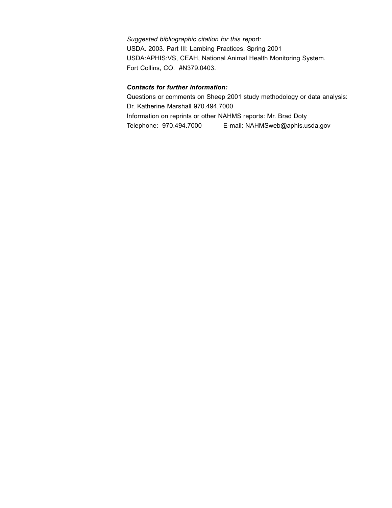*Suggested bibliographic citation for this rep*ort: USDA. 2003. Part III: Lambing Practices, Spring 2001 USDA:APHIS:VS, CEAH, National Animal Health Monitoring System. Fort Collins, CO. #N379.0403.

#### *Contacts for further information:*

Questions or comments on Sheep 2001 study methodology or data analysis: Dr. Katherine Marshall 970.494.7000 Information on reprints or other NAHMS reports: Mr. Brad Doty Telephone: 970.494.7000 E-mail: NAHMSweb@aphis.usda.gov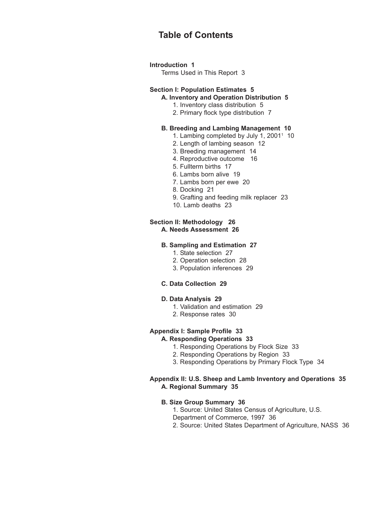### **Table of Contents**

#### **Introduction 1**

Terms Used in This Report 3

#### **Section I: Population Estimates 5**

#### **A. Inventory and Operation Distribution 5**

- 1. Inventory class distribution 5
- 2. Primary flock type distribution 7

#### **B. Breeding and Lambing Management 10**

- 1. Lambing completed by July 1, 2001<sup>1</sup> 10
- 2. Length of lambing season 12
- 3. Breeding management 14
- 4. Reproductive outcome 16
- 5. Fullterm births 17
- 6. Lambs born alive 19
- 7. Lambs born per ewe 20
- 8. Docking 21
- 9. Grafting and feeding milk replacer 23
- 10. Lamb deaths 23

#### **Section II: Methodology 26 A. Needs Assessment 26**

#### **B. Sampling and Estimation 27**

- 1. State selection 27
- 2. Operation selection 28
- 3. Population inferences 29

#### **C. Data Collection 29**

#### **D. Data Analysis 29**

- 1. Validation and estimation 29
- 2. Response rates 30

#### **Appendix I: Sample Profile 33**

#### **A. Responding Operations 33**

- 1. Responding Operations by Flock Size 33
- 2. Responding Operations by Region 33
- 3. Responding Operations by Primary Flock Type 34

#### **Appendix II: U.S. Sheep and Lamb Inventory and Operations 35 A. Regional Summary 35**

#### **B. Size Group Summary 36**

1. Source: United States Census of Agriculture, U.S.

- Department of Commerce, 1997 36
- 2. Source: United States Department of Agriculture, NASS 36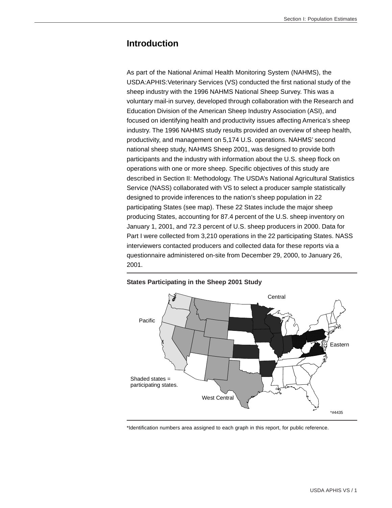#### **Introduction**

As part of the National Animal Health Monitoring System (NAHMS), the USDA:APHIS:Veterinary Services (VS) conducted the first national study of the sheep industry with the 1996 NAHMS National Sheep Survey. This was a voluntary mail-in survey, developed through collaboration with the Research and Education Division of the American Sheep Industry Association (ASI), and focused on identifying health and productivity issues affecting America's sheep industry. The 1996 NAHMS study results provided an overview of sheep health, productivity, and management on 5,174 U.S. operations. NAHMS' second national sheep study, NAHMS Sheep 2001, was designed to provide both participants and the industry with information about the U.S. sheep flock on operations with one or more sheep. Specific objectives of this study are described in Section II: Methodology. The USDA's National Agricultural Statistics Service (NASS) collaborated with VS to select a producer sample statistically designed to provide inferences to the nation's sheep population in 22 participating States (see map). These 22 States include the major sheep producing States, accounting for 87.4 percent of the U.S. sheep inventory on January 1, 2001, and 72.3 percent of U.S. sheep producers in 2000. Data for Part I were collected from 3,210 operations in the 22 participating States. NASS interviewers contacted producers and collected data for these reports via a questionnaire administered on-site from December 29, 2000, to January 26, 2001.



#### **States Participating in the Sheep 2001 Study**

\*Identification numbers area assigned to each graph in this report, for public reference.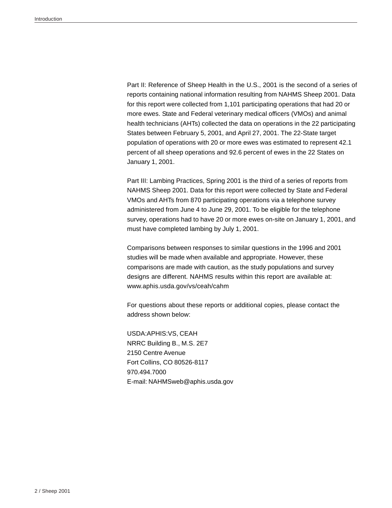Part II: Reference of Sheep Health in the U.S., 2001 is the second of a series of reports containing national information resulting from NAHMS Sheep 2001. Data for this report were collected from 1,101 participating operations that had 20 or more ewes. State and Federal veterinary medical officers (VMOs) and animal health technicians (AHTs) collected the data on operations in the 22 participating States between February 5, 2001, and April 27, 2001. The 22-State target population of operations with 20 or more ewes was estimated to represent 42.1 percent of all sheep operations and 92.6 percent of ewes in the 22 States on January 1, 2001.

Part III: Lambing Practices, Spring 2001 is the third of a series of reports from NAHMS Sheep 2001. Data for this report were collected by State and Federal VMOs and AHTs from 870 participating operations via a telephone survey administered from June 4 to June 29, 2001. To be eligible for the telephone survey, operations had to have 20 or more ewes on-site on January 1, 2001, and must have completed lambing by July 1, 2001.

Comparisons between responses to similar questions in the 1996 and 2001 studies will be made when available and appropriate. However, these comparisons are made with caution, as the study populations and survey designs are different. NAHMS results within this report are available at: www.aphis.usda.gov/vs/ceah/cahm

For questions about these reports or additional copies, please contact the address shown below:

USDA:APHIS:VS, CEAH NRRC Building B., M.S. 2E7 2150 Centre Avenue Fort Collins, CO 80526-8117 970.494.7000 E-mail: NAHMSweb@aphis.usda.gov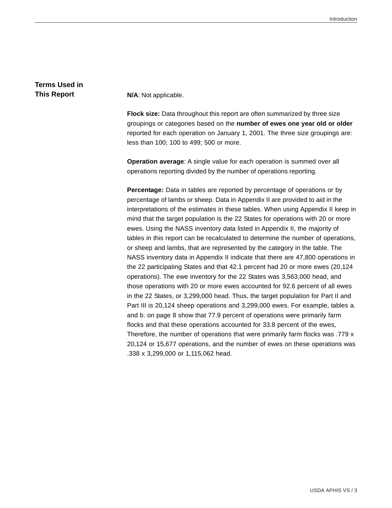## **Terms Used in**

**This Report N/A**: Not applicable.

**Flock size:** Data throughout this report are often summarized by three size groupings or categories based on the **number of ewes one year old or older** reported for each operation on January 1, 2001. The three size groupings are: less than 100; 100 to 499; 500 or more.

**Operation average**: A single value for each operation is summed over all operations reporting divided by the number of operations reporting.

**Percentage:** Data in tables are reported by percentage of operations or by percentage of lambs or sheep. Data in Appendix II are provided to aid in the interpretations of the estimates in these tables. When using Appendix II keep in mind that the target population is the 22 States for operations with 20 or more ewes. Using the NASS inventory data listed in Appendix II, the majority of tables in this report can be recalculated to determine the number of operations, or sheep and lambs, that are represented by the category in the table. The NASS inventory data in Appendix II indicate that there are 47,800 operations in the 22 participating States and that 42.1 percent had 20 or more ewes (20,124 operations). The ewe inventory for the 22 States was 3,563,000 head, and those operations with 20 or more ewes accounted for 92.6 percent of all ewes in the 22 States, or 3,299,000 head. Thus, the target population for Part II and Part III is 20,124 sheep operations and 3,299,000 ewes. For example, tables a. and b. on page 8 show that 77.9 percent of operations were primarily farm flocks and that these operations accounted for 33.8 percent of the ewes, Therefore, the number of operations that were primarily farm flocks was .779 x 20,124 or 15,677 operations, and the number of ewes on these operations was .338 x 3,299,000 or 1,115,062 head.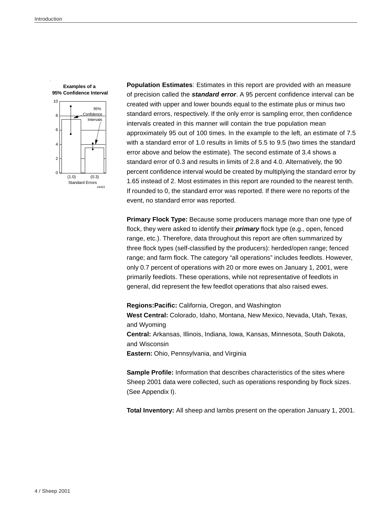

**Population Estimates**: Estimates in this report are provided with an measure of precision called the *standard error*. A 95 percent confidence interval can be created with upper and lower bounds equal to the estimate plus or minus two standard errors, respectively. If the only error is sampling error, then confidence intervals created in this manner will contain the true population mean approximately 95 out of 100 times. In the example to the left, an estimate of 7.5 with a standard error of 1.0 results in limits of 5.5 to 9.5 (two times the standard error above and below the estimate). The second estimate of 3.4 shows a standard error of 0.3 and results in limits of 2.8 and 4.0. Alternatively, the 90 percent confidence interval would be created by multiplying the standard error by 1.65 instead of 2. Most estimates in this report are rounded to the nearest tenth. If rounded to 0, the standard error was reported. If there were no reports of the event, no standard error was reported.

**Primary Flock Type:** Because some producers manage more than one type of flock, they were asked to identify their *primary* flock type (e.g., open, fenced range, etc.). Therefore, data throughout this report are often summarized by three flock types (self-classified by the producers): herded/open range; fenced range; and farm flock. The category "all operations" includes feedlots. However, only 0.7 percent of operations with 20 or more ewes on January 1, 2001, were primarily feedlots. These operations, while not representative of feedlots in general, did represent the few feedlot operations that also raised ewes.

**Regions:Pacific:** California, Oregon, and Washington **West Central:** Colorado, Idaho, Montana, New Mexico, Nevada, Utah, Texas, and Wyoming **Central:** Arkansas, Illinois, Indiana, Iowa, Kansas, Minnesota, South Dakota, and Wisconsin **Eastern:** Ohio, Pennsylvania, and Virginia

**Sample Profile:** Information that describes characteristics of the sites where Sheep 2001 data were collected, such as operations responding by flock sizes. (See Appendix I).

**Total Inventory:** All sheep and lambs present on the operation January 1, 2001.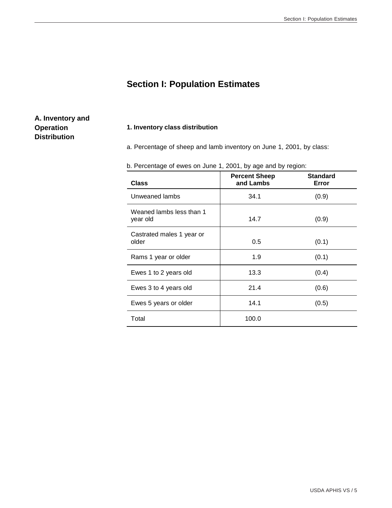### **Section I: Population Estimates**

#### **A. Inventory and Operation Distribution**

#### **1. Inventory class distribution**

a. Percentage of sheep and lamb inventory on June 1, 2001, by class:

| <b>Class</b>                         | <b>Percent Sheep</b><br>and Lambs | <b>Standard</b><br>Error |
|--------------------------------------|-----------------------------------|--------------------------|
| Unweaned lambs                       | 34.1                              | (0.9)                    |
| Weaned lambs less than 1<br>year old | 14.7                              | (0.9)                    |
| Castrated males 1 year or<br>older   | 0.5                               | (0.1)                    |
|                                      |                                   |                          |

Rams 1 year or older  $1.9$  (0.1)

Ewes 1 to 2 years old  $(0.4)$ 

Ewes 3 to 4 years old  $21.4$  (0.6)

Ewes 5 years or older 14.1 (0.5)

Total 100.0

b. Percentage of ewes on June 1, 2001, by age and by region: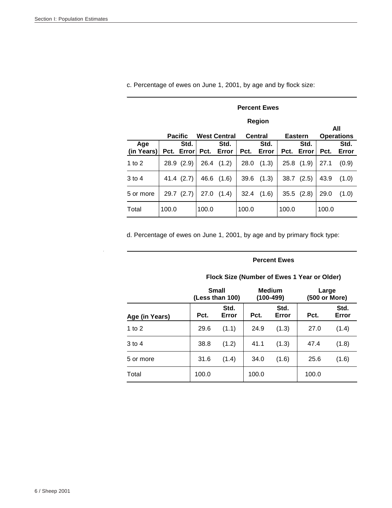|                   |       | <b>Percent Ewes</b>                                                                                   |       |               |       |               |       |                |       |               |
|-------------------|-------|-------------------------------------------------------------------------------------------------------|-------|---------------|-------|---------------|-------|----------------|-------|---------------|
|                   |       |                                                                                                       |       |               |       | Region        |       |                |       |               |
|                   |       | All<br><b>West Central</b><br><b>Central</b><br><b>Operations</b><br><b>Pacific</b><br><b>Eastern</b> |       |               |       |               |       |                |       |               |
| Age<br>(in Years) | Pct.  | Std.<br>Error                                                                                         | Pct.  | Std.<br>Error | Pct.  | Std.<br>Error | Pct.  | Std.<br>Error  | Pct.  | Std.<br>Error |
| 1 to $2$          |       | 28.9(2.9)                                                                                             | 26.4  | (1.2)         | 28.0  | (1.3)         |       | $25.8$ $(1.9)$ | 27.1  | (0.9)         |
| 3 to 4            |       | 41.4 (2.7)                                                                                            | 46.6  | (1.6)         | 39.6  | (1.3)         | 38.7  | (2.5)          | 43.9  | (1.0)         |
| 5 or more         | 29.7  | (2.7)                                                                                                 | 27.0  | (1.4)         | 32.4  | (1.6)         |       | $35.5$ $(2.8)$ | 29.0  | (1.0)         |
| Total             | 100.0 |                                                                                                       | 100.0 |               | 100.0 |               | 100.0 |                | 100.0 |               |

c. Percentage of ewes on June 1, 2001, by age and by flock size:

d. Percentage of ewes on June 1, 2001, by age and by primary flock type:

#### **Percent Ewes**

|                | Small<br>(Less than 100) |               |       | <b>Medium</b><br>$(100-499)$ | Large<br>(500 or More) |               |
|----------------|--------------------------|---------------|-------|------------------------------|------------------------|---------------|
| Age (in Years) | Pct.                     | Std.<br>Error | Pct.  | Std.<br>Error                | Pct.                   | Std.<br>Error |
| 1 to $2$       | 29.6                     | (1.1)         | 24.9  | (1.3)                        | 27.0                   | (1.4)         |
| $3$ to 4       | 38.8                     | (1.2)         | 41.1  | (1.3)                        | 47.4                   | (1.8)         |
| 5 or more      | 31.6                     | (1.4)         | 34.0  | (1.6)                        | 25.6                   | (1.6)         |
| Total          | 100.0                    |               | 100.0 |                              | 100.0                  |               |

#### **Flock Size (Number of Ewes 1 Year or Older)**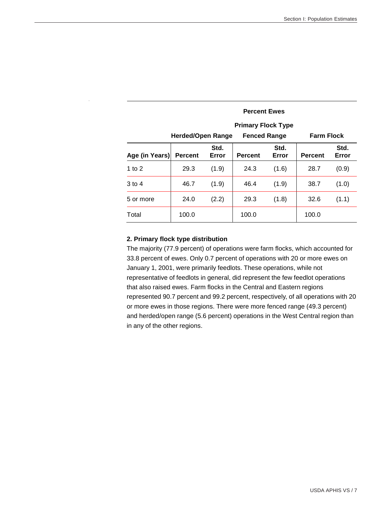|                |                          |               | <b>Percent Ewes</b>       |               |                   |               |
|----------------|--------------------------|---------------|---------------------------|---------------|-------------------|---------------|
|                |                          |               | <b>Primary Flock Type</b> |               |                   |               |
|                | <b>Herded/Open Range</b> |               | <b>Fenced Range</b>       |               | <b>Farm Flock</b> |               |
| Age (in Years) | <b>Percent</b>           | Std.<br>Error | <b>Percent</b>            | Std.<br>Error | <b>Percent</b>    | Std.<br>Error |
| 1 to $2$       | 29.3                     | (1.9)         | 24.3                      | (1.6)         | 28.7              | (0.9)         |
| $3$ to 4       | 46.7                     | (1.9)         | 46.4                      | (1.9)         | 38.7              | (1.0)         |
| 5 or more      | 24.0                     | (2.2)         | 29.3                      | (1.8)         | 32.6              | (1.1)         |
| Total          | 100.0                    |               | 100.0                     |               | 100.0             |               |

#### **2. Primary flock type distribution**

The majority (77.9 percent) of operations were farm flocks, which accounted for 33.8 percent of ewes. Only 0.7 percent of operations with 20 or more ewes on January 1, 2001, were primarily feedlots. These operations, while not representative of feedlots in general, did represent the few feedlot operations that also raised ewes. Farm flocks in the Central and Eastern regions represented 90.7 percent and 99.2 percent, respectively, of all operations with 20 or more ewes in those regions. There were more fenced range (49.3 percent) and herded/open range (5.6 percent) operations in the West Central region than in any of the other regions.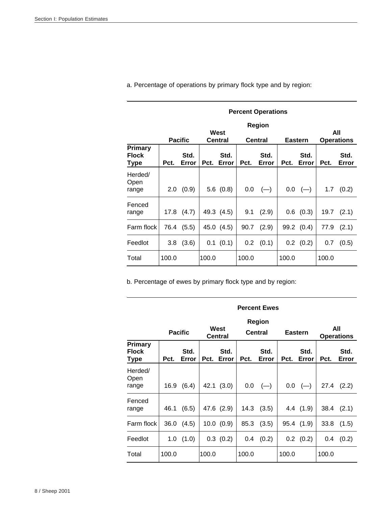|                                 |       | <b>Percent Operations</b>                                                       |       |               |         |               |       |               |       |               |  |
|---------------------------------|-------|---------------------------------------------------------------------------------|-------|---------------|---------|---------------|-------|---------------|-------|---------------|--|
|                                 |       | Region<br>West<br><b>Pacific</b><br>Central<br><b>Central</b><br><b>Eastern</b> |       |               |         |               |       |               |       |               |  |
| Primary<br><b>Flock</b><br>Type | Pct.  | Std.<br>Error                                                                   | Pct.  | Std.<br>Error | Pct.    | Std.<br>Error | Pct.  | Std.<br>Error | Pct.  | Std.<br>Error |  |
| Herded/<br>Open<br>range        | 2.0   | (0.9)                                                                           |       | 5.6(0.8)      | $0.0\,$ | $(-)$         |       | $0.0$ (-)     | 1.7   | (0.2)         |  |
| Fenced<br>range                 | 17.8  | (4.7)                                                                           |       | 49.3 (4.5)    | 9.1     | (2.9)         |       | $0.6$ $(0.3)$ | 19.7  | (2.1)         |  |
| Farm flock                      | 76.4  | (5.5)                                                                           |       | 45.0 (4.5)    | 90.7    | (2.9)         |       | 99.2 (0.4)    | 77.9  | (2.1)         |  |
| Feedlot                         | 3.8   | (3.6)                                                                           |       | 0.1 (0.1)     | $0.2\,$ | (0.1)         |       | $0.2$ $(0.2)$ | 0.7   | (0.5)         |  |
| Total                           | 100.0 |                                                                                 | 100.0 |               | 100.0   |               | 100.0 |               | 100.0 |               |  |

a. Percentage of operations by primary flock type and by region:

b. Percentage of ewes by primary flock type and by region:

|                                        |       | <b>Percent Ewes</b>                                                                           |       |               |       |               |       |               |                          |               |  |
|----------------------------------------|-------|-----------------------------------------------------------------------------------------------|-------|---------------|-------|---------------|-------|---------------|--------------------------|---------------|--|
|                                        |       | <b>Region</b><br>West<br><b>Pacific</b><br><b>Central</b><br><b>Eastern</b><br><b>Central</b> |       |               |       |               |       |               | All<br><b>Operations</b> |               |  |
| <b>Primary</b><br><b>Flock</b><br>Type | Pct.  | Std.<br>Error                                                                                 | Pct.  | Std.<br>Error | Pct.  | Std.<br>Error | Pct.  | Std.<br>Error | Pct.                     | Std.<br>Error |  |
| Herded/<br>Open<br>range               | 16.9  | (6.4)                                                                                         |       | 42.1 (3.0)    | 0.0   | $(-)$         |       | $0.0$ (-)     | 27.4                     | (2.2)         |  |
| Fenced<br>range                        | 46.1  | (6.5)                                                                                         |       | 47.6 (2.9)    | 14.3  | (3.5)         |       | 4.4(1.9)      | 38.4                     | (2.1)         |  |
| Farm flock                             | 36.0  | (4.5)                                                                                         |       | 10.0 (0.9)    | 85.3  | (3.5)         |       | 95.4 (1.9)    | 33.8                     | (1.5)         |  |
| Feedlot                                | 1.0   | (1.0)                                                                                         |       | $0.3$ $(0.2)$ | 0.4   | (0.2)         |       | $0.2$ $(0.2)$ | 0.4                      | (0.2)         |  |
| Total                                  | 100.0 |                                                                                               | 100.0 |               | 100.0 |               | 100.0 |               | 100.0                    |               |  |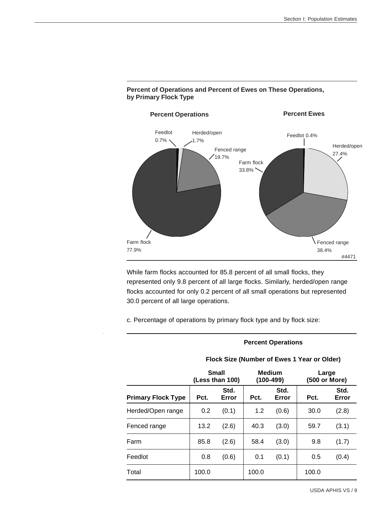

#### **Percent of Operations and Percent of Ewes on These Operations, by Primary Flock Type**

While farm flocks accounted for 85.8 percent of all small flocks, they represented only 9.8 percent of all large flocks. Similarly, herded/open range flocks accounted for only 0.2 percent of all small operations but represented 30.0 percent of all large operations.

c. Percentage of operations by primary flock type and by flock size:

#### **Percent Operations**

|                           | Small<br>(Less than 100) |               |       | <b>Medium</b><br>$(100-499)$ | Large<br>(500 or More) |               |
|---------------------------|--------------------------|---------------|-------|------------------------------|------------------------|---------------|
| <b>Primary Flock Type</b> | Pct.                     | Std.<br>Error | Pct.  | Std.<br>Error                | Pct.                   | Std.<br>Error |
| Herded/Open range         | 0.2                      | (0.1)         | 1.2   | (0.6)                        | 30.0                   | (2.8)         |
| Fenced range              | 13.2                     | (2.6)         | 40.3  | (3.0)                        | 59.7                   | (3.1)         |
| Farm                      | 85.8                     | (2.6)         | 58.4  | (3.0)                        | 9.8                    | (1.7)         |
| Feedlot                   | 0.8                      | (0.6)         | 0.1   | (0.1)                        | 0.5                    | (0.4)         |
| Total                     | 100.0                    |               | 100.0 |                              | 100.0                  |               |

#### **Flock Size (Number of Ewes 1 Year or Older)**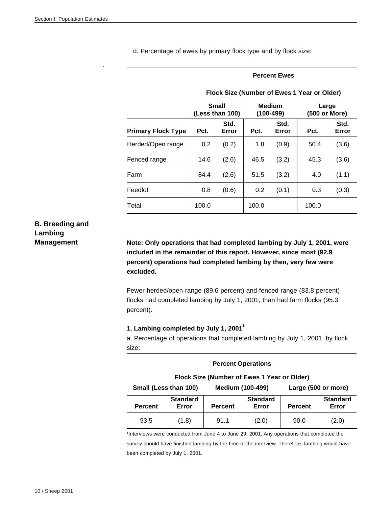d. Percentage of ewes by primary flock type and by flock size:

#### **Percent Ewes**

|                           | <b>Small</b><br>(Less than 100) |               |       | <b>Medium</b><br>(100-499) | Large<br>(500 or More) |               |
|---------------------------|---------------------------------|---------------|-------|----------------------------|------------------------|---------------|
| <b>Primary Flock Type</b> | Pct.                            | Std.<br>Error | Pct.  | Std.<br>Error              | Pct.                   | Std.<br>Error |
| Herded/Open range         | 0.2                             | (0.2)         | 1.8   | (0.9)                      | 50.4                   | (3.6)         |
| Fenced range              | 14.6                            | (2.6)         | 46.5  | (3.2)                      | 45.3                   | (3.6)         |
| Farm                      | 84.4                            | (2.6)         | 51.5  | (3.2)                      | 4.0                    | (1.1)         |
| Feedlot                   | 0.8                             | (0.6)         | 0.2   | (0.1)                      | 0.3                    | (0.3)         |
| Total                     | 100.0                           |               | 100.0 |                            | 100.0                  |               |

#### **Flock Size (Number of Ewes 1 Year or Older)**

### **B. Breeding and Lambing**

**Management Note: Only operations that had completed lambing by July 1, 2001, were included in the remainder of this report. However, since most (92.9 percent) operations had completed lambing by then, very few were excluded.**

> Fewer herded/open range (89.6 percent) and fenced range (83.8 percent) flocks had completed lambing by July 1, 2001, than had farm flocks (95.3 percent).

#### **1. Lambing completed by July 1, 2001<sup>1</sup>**

a. Percentage of operations that completed lambing by July 1, 2001, by flock size:

|                                                                         | <b>Percent Operations</b>                   |                |                          |                |                          |  |  |  |  |  |
|-------------------------------------------------------------------------|---------------------------------------------|----------------|--------------------------|----------------|--------------------------|--|--|--|--|--|
|                                                                         | Flock Size (Number of Ewes 1 Year or Older) |                |                          |                |                          |  |  |  |  |  |
| Small (Less than 100)<br><b>Medium (100-499)</b><br>Large (500 or more) |                                             |                |                          |                |                          |  |  |  |  |  |
| <b>Percent</b>                                                          | <b>Standard</b><br>Error                    | <b>Percent</b> | <b>Standard</b><br>Error | <b>Percent</b> | <b>Standard</b><br>Error |  |  |  |  |  |
| 93.5                                                                    | (1.8)                                       | 91.1           | (2.0)                    | 90.0           | (2.0)                    |  |  |  |  |  |

1 Interviews were conducted from June 4 to June 29, 2001. Any operations that completed the survey should have finished lambing by the time of the interview. Therefore, lambing would have been completed by July 1, 2001.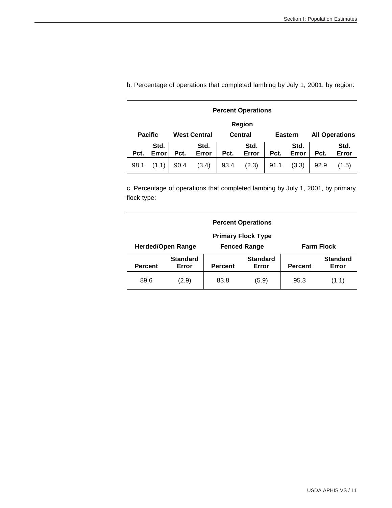| <b>Percent Operations</b> |                |      |                     |                |               |      |                |      |                       |  |
|---------------------------|----------------|------|---------------------|----------------|---------------|------|----------------|------|-----------------------|--|
| Region                    |                |      |                     |                |               |      |                |      |                       |  |
|                           | <b>Pacific</b> |      | <b>West Central</b> | <b>Central</b> |               |      | <b>Eastern</b> |      | <b>All Operations</b> |  |
| Pct.                      | Std.<br>Error  | Pct. | Std.<br>Error       | Pct.           | Std.<br>Error | Pct. | Std.<br>Error  | Pct. | Std.<br>Error         |  |
| 98.1                      | (1.1)          | 90.4 | (3.4)               | 93.4           | (2.3)         | 91.1 | (3.3)          | 92.9 | (1.5)                 |  |

b. Percentage of operations that completed lambing by July 1, 2001, by region:

c. Percentage of operations that completed lambing by July 1, 2001, by primary flock type:

| <b>Percent Operations</b> |                          |                |                                          |                |                          |  |  |
|---------------------------|--------------------------|----------------|------------------------------------------|----------------|--------------------------|--|--|
|                           |                          |                |                                          |                |                          |  |  |
|                           | <b>Herded/Open Range</b> |                | <b>Fenced Range</b><br><b>Farm Flock</b> |                |                          |  |  |
| <b>Percent</b>            | <b>Standard</b><br>Error | <b>Percent</b> | <b>Standard</b><br>Error                 | <b>Percent</b> | <b>Standard</b><br>Error |  |  |
| 89.6                      | (2.9)                    | 83.8           | (5.9)                                    | 95.3           | (1.1)                    |  |  |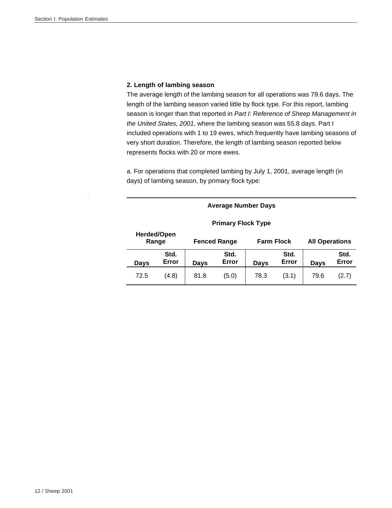#### **2. Length of lambing season**

The average length of the lambing season for all operations was 79.6 days. The length of the lambing season varied little by flock type. For this report, lambing season is longer than that reported in *Part I: Reference of Sheep Management in the United States, 2001*, where the lambing season was 55.8 days. Part I included operations with 1 to 19 ewes, which frequently have lambing seasons of very short duration. Therefore, the length of lambing season reported below represents flocks with 20 or more ewes.

a. For operations that completed lambing by July 1, 2001, average length (in days) of lambing season, by primary flock type:

| <b>Primary Flock Type</b> |                      |                                          |               |                       |       |      |                       |  |  |
|---------------------------|----------------------|------------------------------------------|---------------|-----------------------|-------|------|-----------------------|--|--|
|                           | Herded/Open<br>Range | <b>Farm Flock</b><br><b>Fenced Range</b> |               |                       |       |      | <b>All Operations</b> |  |  |
| Days                      | Std.<br>Error        | Days                                     | Std.<br>Error | Std.<br>Error<br>Days |       | Days | Std.<br>Error         |  |  |
| 72.5                      | (4.8)                | 81.8                                     | (5.0)         | 78.3                  | (3.1) | 79.6 | (2.7)                 |  |  |

**Average Number Days**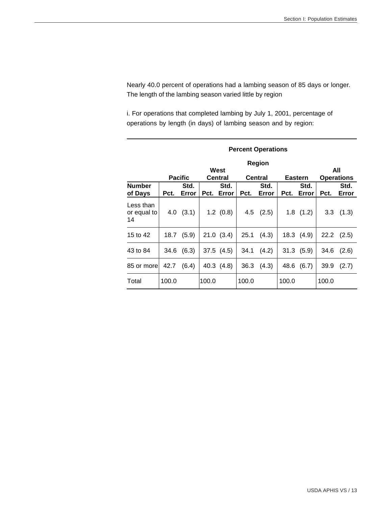Nearly 40.0 percent of operations had a lambing season of 85 days or longer. The length of the lambing season varied little by region

i. For operations that completed lambing by July 1, 2001, percentage of operations by length (in days) of lambing season and by region:

|                                |       | <b>Percent Operations</b>                                                              |       |               |       |               |       |               |       |                |  |  |
|--------------------------------|-------|----------------------------------------------------------------------------------------|-------|---------------|-------|---------------|-------|---------------|-------|----------------|--|--|
|                                |       | Region<br>West<br><b>Pacific</b><br><b>Central</b><br><b>Central</b><br><b>Eastern</b> |       |               |       |               |       |               |       |                |  |  |
| <b>Number</b><br>of Days       | Pct.  | Std.<br>Error                                                                          | Pct.  | Std.<br>Error | Pct.  | Std.<br>Error | Pct.  | Std.<br>Error | Pct.  | Std.<br>Error  |  |  |
| Less than<br>or equal to<br>14 | 4.0   | (3.1)                                                                                  |       | $1.2$ $(0.8)$ | 4.5   | (2.5)         |       | $1.8$ $(1.2)$ | 3.3   | (1.3)          |  |  |
| 15 to 42                       | 18.7  | (5.9)                                                                                  |       | 21.0(3.4)     | 25.1  | (4.3)         |       | 18.3 (4.9)    |       | $22.2$ $(2.5)$ |  |  |
| 43 to 84                       | 34.6  | (6.3)                                                                                  |       | 37.5(4.5)     | 34.1  | (4.2)         |       | 31.3(5.9)     | 34.6  | (2.6)          |  |  |
| 85 or more                     | 42.7  | (6.4)                                                                                  |       | 40.3 (4.8)    | 36.3  | (4.3)         | 48.6  | (6.7)         | 39.9  | (2.7)          |  |  |
| Total                          | 100.0 |                                                                                        | 100.0 |               | 100.0 |               | 100.0 |               | 100.0 |                |  |  |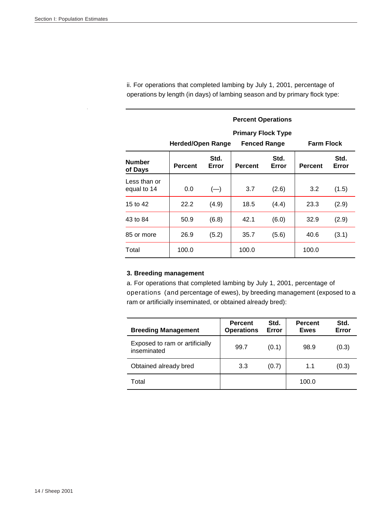|                             | <b>Percent Operations</b><br><b>Primary Flock Type</b><br><b>Farm Flock</b><br>Herded/Open Range<br><b>Fenced Range</b> |               |                |               |                |               |  |  |
|-----------------------------|-------------------------------------------------------------------------------------------------------------------------|---------------|----------------|---------------|----------------|---------------|--|--|
| <b>Number</b><br>of Days    | <b>Percent</b>                                                                                                          | Std.<br>Error | <b>Percent</b> | Std.<br>Error | <b>Percent</b> | Std.<br>Error |  |  |
| Less than or<br>equal to 14 | 0.0                                                                                                                     | $(-)$         | 3.7            | (2.6)         | 3.2            | (1.5)         |  |  |
| 15 to 42                    | 22.2                                                                                                                    | (4.9)         | 18.5           | (4.4)         | 23.3           | (2.9)         |  |  |
| 43 to 84                    | 50.9                                                                                                                    | (6.8)         | 42.1           | (6.0)         | 32.9           | (2.9)         |  |  |
| 85 or more                  | 26.9                                                                                                                    | (5.2)         | 35.7           | (5.6)         | 40.6           | (3.1)         |  |  |
| Total                       | 100.0                                                                                                                   |               | 100.0          |               | 100.0          |               |  |  |

ii. For operations that completed lambing by July 1, 2001, percentage of operations by length (in days) of lambing season and by primary flock type:

#### **3. Breeding management**

a. For operations that completed lambing by July 1, 2001, percentage of operations (and percentage of ewes), by breeding management (exposed to a ram or artificially inseminated, or obtained already bred):

| <b>Breeding Management</b>                    | <b>Percent</b><br><b>Operations</b> | Std.<br>Error | <b>Percent</b><br><b>Ewes</b> | Std.<br>Error |
|-----------------------------------------------|-------------------------------------|---------------|-------------------------------|---------------|
| Exposed to ram or artificially<br>inseminated | 99.7                                | (0.1)         | 98.9                          | (0.3)         |
| Obtained already bred                         | 3.3                                 | (0.7)         | 1.1                           | (0.3)         |
| Total                                         |                                     |               | 100.0                         |               |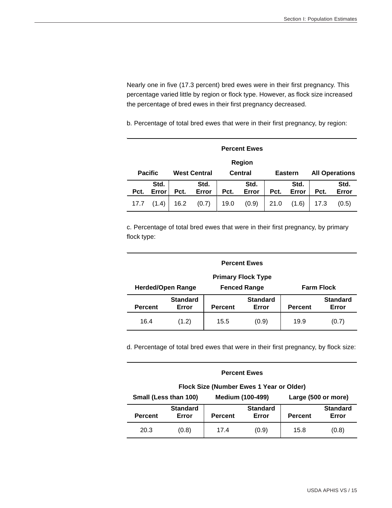Nearly one in five (17.3 percent) bred ewes were in their first pregnancy. This percentage varied little by region or flock type. However, as flock size increased the percentage of bred ewes in their first pregnancy decreased.

b. Percentage of total bred ewes that were in their first pregnancy, by region:

|      | <b>Percent Ewes</b>                   |      |               |      |               |                |               |                       |               |  |
|------|---------------------------------------|------|---------------|------|---------------|----------------|---------------|-----------------------|---------------|--|
|      | Region                                |      |               |      |               |                |               |                       |               |  |
|      | <b>Pacific</b><br><b>West Central</b> |      |               |      | Central       | <b>Eastern</b> |               | <b>All Operations</b> |               |  |
| Pct. | Std.<br>Error                         | Pct. | Std.<br>Error | Pct. | Std.<br>Error | Pct.           | Std.<br>Error | Pct.                  | Std.<br>Error |  |
| 17.7 | (1.4)                                 | 16.2 | (0.7)         | 19.0 | (0.9)         | 21.0           | (1.6)         | 17.3                  | (0.5)         |  |

c. Percentage of total bred ewes that were in their first pregnancy, by primary flock type:

| <b>Percent Ewes</b>                                                                               |                          |                |                          |                |                          |  |  |  |  |  |
|---------------------------------------------------------------------------------------------------|--------------------------|----------------|--------------------------|----------------|--------------------------|--|--|--|--|--|
| <b>Primary Flock Type</b><br><b>Herded/Open Range</b><br><b>Farm Flock</b><br><b>Fenced Range</b> |                          |                |                          |                |                          |  |  |  |  |  |
| <b>Percent</b>                                                                                    | <b>Standard</b><br>Error | <b>Percent</b> | <b>Standard</b><br>Error | <b>Percent</b> | <b>Standard</b><br>Error |  |  |  |  |  |
| 16.4                                                                                              | (1.2)                    | 15.5           | (0.9)                    | 19.9           | (0.7)                    |  |  |  |  |  |

d. Percentage of total bred ewes that were in their first pregnancy, by flock size:

| <b>Percent Ewes</b>                      |                          |                |                          |                     |                          |  |  |  |  |  |
|------------------------------------------|--------------------------|----------------|--------------------------|---------------------|--------------------------|--|--|--|--|--|
| Flock Size (Number Ewes 1 Year or Older) |                          |                |                          |                     |                          |  |  |  |  |  |
|                                          | Small (Less than 100)    |                | <b>Medium (100-499)</b>  | Large (500 or more) |                          |  |  |  |  |  |
| <b>Percent</b>                           | <b>Standard</b><br>Error | <b>Percent</b> | <b>Standard</b><br>Error | <b>Percent</b>      | <b>Standard</b><br>Error |  |  |  |  |  |
| 20.3                                     | (0.8)                    | 17.4           | (0.9)                    | 15.8                | (0.8)                    |  |  |  |  |  |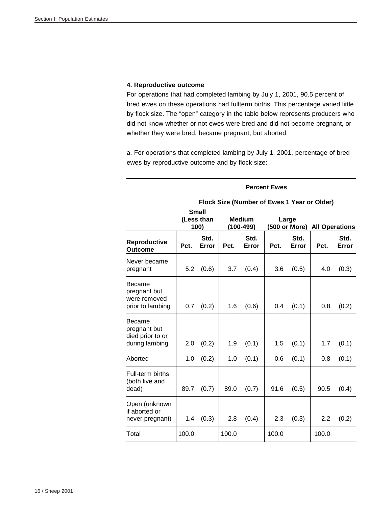#### **4. Reproductive outcome**

For operations that had completed lambing by July 1, 2001, 90.5 percent of bred ewes on these operations had fullterm births. This percentage varied little by flock size. The "open" category in the table below represents producers who did not know whether or not ewes were bred and did not become pregnant, or whether they were bred, became pregnant, but aborted.

a. For operations that completed lambing by July 1, 2001, percentage of bred ewes by reproductive outcome and by flock size:

#### **Flock Size (Number of Ewes 1 Year or Older) Small (Less than 100) Medium (100-499) Large (500 or More) All Operations Reproductive Outcome Pct. Std. Error Pct. Std. Error Pct. Std. Error Pct. Std. Error**  Never became pregnant 5.2 (0.6) 3.7 (0.4) 3.6 (0.5) 4.0 (0.3) Became pregnant but were removed prior to lambing  $\begin{vmatrix} 0.7 & 0.2 \end{vmatrix}$  1.6  $(0.6)$  0.4  $(0.1)$  0.8  $(0.2)$ Became pregnant but died prior to or during lambing  $\begin{vmatrix} 2.0 & (0.2) & 1.9 & (0.1) & 1.5 & (0.1) & 1.7 & (0.1) \end{vmatrix}$ Aborted 1.0 (0.2) 1.0 (0.1) 0.6 (0.1) 0.8 (0.1) Full-term births (both live and dead) | 89.7 (0.7) | 89.0 (0.7) | 91.6 (0.5) | 90.5 (0.4) Open (unknown if aborted or never pregnant) 1.4 (0.3) 2.8 (0.4) 2.3 (0.3) 2.2 (0.2) Total 100.0 100.0 100.0 100.0

**Percent Ewes**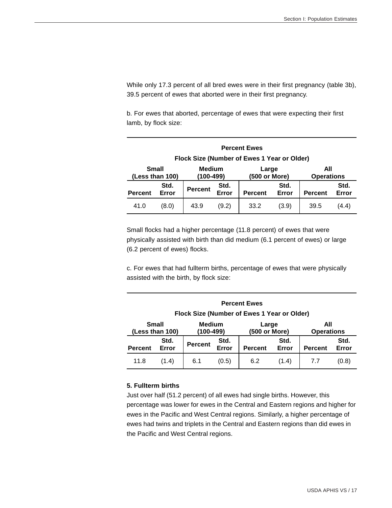While only 17.3 percent of all bred ewes were in their first pregnancy (table 3b), 39.5 percent of ewes that aborted were in their first pregnancy.

b. For ewes that aborted, percentage of ewes that were expecting their first lamb, by flock size:

| <b>Percent Ewes</b>             |                                             |                |                     |                        |               |                          |               |  |  |  |
|---------------------------------|---------------------------------------------|----------------|---------------------|------------------------|---------------|--------------------------|---------------|--|--|--|
|                                 | Flock Size (Number of Ewes 1 Year or Older) |                |                     |                        |               |                          |               |  |  |  |
| <b>Small</b><br>(Less than 100) |                                             |                | Medium<br>(100-499) | Large<br>(500 or More) |               | All<br><b>Operations</b> |               |  |  |  |
| <b>Percent</b>                  | Std.<br>Error                               | <b>Percent</b> | Std.<br>Error       | <b>Percent</b>         | Std.<br>Error | <b>Percent</b>           | Std.<br>Error |  |  |  |
| 41.0                            | (8.0)                                       | 43.9           | (9.2)               | 33.2                   | (3.9)         | 39.5                     | (4.4)         |  |  |  |

Small flocks had a higher percentage (11.8 percent) of ewes that were physically assisted with birth than did medium (6.1 percent of ewes) or large (6.2 percent of ewes) flocks.

c. For ewes that had fullterm births, percentage of ewes that were physically assisted with the birth, by flock size:

| <b>Percent Ewes</b>             |                                             |                            |               |                        |               |                          |               |  |  |  |
|---------------------------------|---------------------------------------------|----------------------------|---------------|------------------------|---------------|--------------------------|---------------|--|--|--|
|                                 | Flock Size (Number of Ewes 1 Year or Older) |                            |               |                        |               |                          |               |  |  |  |
| <b>Small</b><br>(Less than 100) |                                             | <b>Medium</b><br>(100-499) |               | Large<br>(500 or More) |               | All<br><b>Operations</b> |               |  |  |  |
| <b>Percent</b>                  | Std.<br>Error                               | <b>Percent</b>             | Std.<br>Error | <b>Percent</b>         | Std.<br>Error | <b>Percent</b>           | Std.<br>Error |  |  |  |
| 11.8                            | (1.4)                                       | 6.1                        | (0.5)         | 6.2                    | (1.4)         | 7.7                      | (0.8)         |  |  |  |

#### **5. Fullterm births**

Just over half (51.2 percent) of all ewes had single births. However, this percentage was lower for ewes in the Central and Eastern regions and higher for ewes in the Pacific and West Central regions. Similarly, a higher percentage of ewes had twins and triplets in the Central and Eastern regions than did ewes in the Pacific and West Central regions.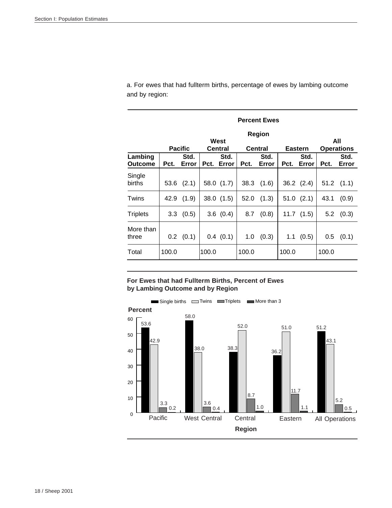a. For ewes that had fullterm births, percentage of ewes by lambing outcome and by region:

|                           |       | <b>Percent Ewes</b> |                 |               |                          |                                 |       |                                 |       |                |  |  |  |
|---------------------------|-------|---------------------|-----------------|---------------|--------------------------|---------------------------------|-------|---------------------------------|-------|----------------|--|--|--|
|                           |       | <b>Pacific</b>      | West<br>Central |               | All<br><b>Operations</b> |                                 |       |                                 |       |                |  |  |  |
| Lambing<br><b>Outcome</b> | Pct.  | Std.<br>Error       | Pct.            | Std.<br>Error | Pct.                     | <b>Central</b><br>Std.<br>Error | Pct.  | <b>Eastern</b><br>Std.<br>Error | Pct.  | Std.<br>Error  |  |  |  |
| Single<br>births          | 53.6  | (2.1)               |                 | 58.0 $(1.7)$  |                          | $38.3$ $(1.6)$                  |       | $36.2$ $(2.4)$                  |       | $51.2$ $(1.1)$ |  |  |  |
| Twins                     | 42.9  | (1.9)               |                 | 38.0(1.5)     | 52.0                     | (1.3)                           |       | $51.0$ $(2.1)$                  | 43.1  | (0.9)          |  |  |  |
| <b>Triplets</b>           |       | $3.3 \quad (0.5)$   |                 | 3.6(0.4)      | 8.7                      | (0.8)                           |       | $11.7$ $(1.5)$                  | 5.2   | (0.3)          |  |  |  |
| More than<br>three        |       | $0.2$ $(0.1)$       |                 | 0.4(0.1)      | 1.0                      | (0.3)                           |       | $1.1$ (0.5)                     | 0.5   | (0.1)          |  |  |  |
| Total                     | 100.0 |                     | 100.0           |               | 100.0                    |                                 | 100.0 |                                 | 100.0 |                |  |  |  |

**For Ewes that had Fullterm Births, Percent of Ewes by Lambing Outcome and by Region**

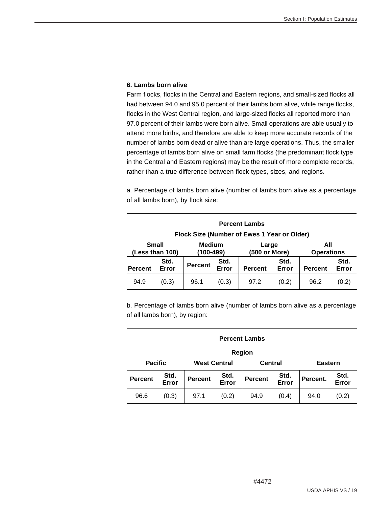#### **6. Lambs born alive**

Farm flocks, flocks in the Central and Eastern regions, and small-sized flocks all had between 94.0 and 95.0 percent of their lambs born alive, while range flocks, flocks in the West Central region, and large-sized flocks all reported more than 97.0 percent of their lambs were born alive. Small operations are able usually to attend more births, and therefore are able to keep more accurate records of the number of lambs born dead or alive than are large operations. Thus, the smaller percentage of lambs born alive on small farm flocks (the predominant flock type in the Central and Eastern regions) may be the result of more complete records, rather than a true difference between flock types, sizes, and regions.

a. Percentage of lambs born alive (number of lambs born alive as a percentage of all lambs born), by flock size:

| <b>Percent Lambs</b>            |               |                     |               |                                             |               |                          |               |  |
|---------------------------------|---------------|---------------------|---------------|---------------------------------------------|---------------|--------------------------|---------------|--|
|                                 |               |                     |               | Flock Size (Number of Ewes 1 Year or Older) |               |                          |               |  |
| <b>Small</b><br>(Less than 100) |               | Medium<br>(100-499) |               | Large<br>(500 or More)                      |               | All<br><b>Operations</b> |               |  |
| <b>Percent</b>                  | Std.<br>Error | <b>Percent</b>      | Std.<br>Error | <b>Percent</b>                              | Std.<br>Error | <b>Percent</b>           | Std.<br>Error |  |
| 94.9                            | (0.3)         | 96.1                | (0.3)         | 97.2                                        | (0.2)         | 96.2                     | (0.2)         |  |

b. Percentage of lambs born alive (number of lambs born alive as a percentage of all lambs born), by region:

| Region         |               |                     |               |                                 |       |                |               |  |  |  |
|----------------|---------------|---------------------|---------------|---------------------------------|-------|----------------|---------------|--|--|--|
| <b>Pacific</b> |               | <b>West Central</b> |               | <b>Central</b>                  |       | <b>Eastern</b> |               |  |  |  |
| <b>Percent</b> | Std.<br>Error | <b>Percent</b>      | Std.<br>Error | Std.<br>Error<br><b>Percent</b> |       | Percent.       | Std.<br>Error |  |  |  |
| 96.6           | (0.3)         | 97.1                | (0.2)         | 94.9                            | (0.4) | 94.0           | (0.2)         |  |  |  |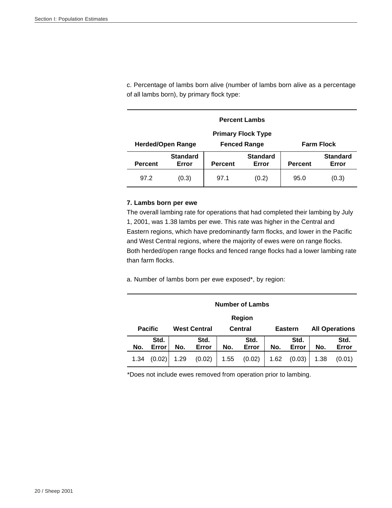c. Percentage of lambs born alive (number of lambs born alive as a percentage of all lambs born), by primary flock type:

|                                                 | <b>Percent Lambs</b>      |                          |                     |  |                   |  |  |  |  |  |
|-------------------------------------------------|---------------------------|--------------------------|---------------------|--|-------------------|--|--|--|--|--|
|                                                 | <b>Primary Flock Type</b> |                          |                     |  |                   |  |  |  |  |  |
|                                                 | <b>Herded/Open Range</b>  |                          | <b>Fenced Range</b> |  | <b>Farm Flock</b> |  |  |  |  |  |
| <b>Percent</b>                                  | <b>Percent</b>            | <b>Standard</b><br>Error |                     |  |                   |  |  |  |  |  |
| 97.2<br>(0.3)<br>97.1<br>(0.2)<br>95.0<br>(0.3) |                           |                          |                     |  |                   |  |  |  |  |  |

#### **7. Lambs born per ewe**

The overall lambing rate for operations that had completed their lambing by July 1, 2001, was 1.38 lambs per ewe. This rate was higher in the Central and Eastern regions, which have predominantly farm flocks, and lower in the Pacific and West Central regions, where the majority of ewes were on range flocks. Both herded/open range flocks and fenced range flocks had a lower lambing rate than farm flocks.

a. Number of lambs born per ewe exposed\*, by region:

|     | <b>Number of Lambs</b> |              |                     |     |                |     |                |     |                       |  |  |
|-----|------------------------|--------------|---------------------|-----|----------------|-----|----------------|-----|-----------------------|--|--|
|     | <b>Region</b>          |              |                     |     |                |     |                |     |                       |  |  |
|     | <b>Pacific</b>         |              | <b>West Central</b> |     | <b>Central</b> |     | <b>Eastern</b> |     | <b>All Operations</b> |  |  |
|     | Std.                   | Std.<br>Std. |                     |     |                |     | Std.           |     | Std.                  |  |  |
| No. | Error                  | No.          | Error               | No. | Error          | No. | Error          | No. | Error                 |  |  |
|     |                        |              |                     |     |                |     |                |     |                       |  |  |

\*Does not include ewes removed from operation prior to lambing.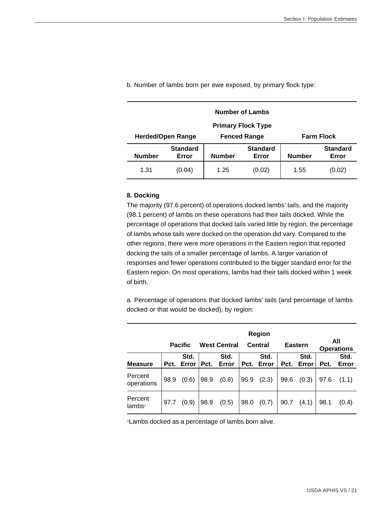|                                                               | <b>Number of Lambs</b>    |               |                          |  |  |  |  |  |  |  |
|---------------------------------------------------------------|---------------------------|---------------|--------------------------|--|--|--|--|--|--|--|
|                                                               | <b>Primary Flock Type</b> |               |                          |  |  |  |  |  |  |  |
| <b>Fenced Range</b><br><b>Farm Flock</b><br>Herded/Open Range |                           |               |                          |  |  |  |  |  |  |  |
| <b>Number</b>                                                 | <b>Standard</b><br>Error  | <b>Number</b> | <b>Standard</b><br>Error |  |  |  |  |  |  |  |
| 1.31<br>(0.02)<br>1.25<br>1.55<br>(0.04)<br>(0.02)            |                           |               |                          |  |  |  |  |  |  |  |

b. Number of lambs born per ewe exposed, by primary flock type:

#### **8. Docking**

The majority (97.6 percent) of operations docked lambs' tails, and the majority (98.1 percent) of lambs on these operations had their tails docked. While the percentage of operations that docked tails varied little by region, the percentage of lambs whose tails were docked on the operation did vary. Compared to the other regions, there were more operations in the Eastern region that reported docking the tails of a smaller percentage of lambs. A larger variation of responses and fewer operations contributed to the bigger standard error for the Eastern region. On most operations, lambs had their tails docked within 1 week of birth.

a. Percentage of operations that docked lambs' tails (and percentage of lambs docked or that would be docked), by region:

|                               |      | <b>Pacific</b> |      | <b>West Central</b> |      | Region<br>Central |      | <b>Eastern</b> |      | All<br><b>Operations</b> |
|-------------------------------|------|----------------|------|---------------------|------|-------------------|------|----------------|------|--------------------------|
| <b>Measure</b>                | Pct. | Std.<br>Error  | Pct. | Std.<br>Error       | Pct. | Std.<br>Error     | Pct. | Std.<br>Error  | Pct. | Std.<br>Error            |
| Percent<br>operations         | 98.9 | (0.6)          | 98.9 | (0.8)               | 95.9 | (2.3)             | 99.6 | (0.3)          | 97.6 | (1.1)                    |
| Percent<br>lambs <sup>1</sup> | 97.7 | (0.9)          | 98.9 | (0.5)               | 98.0 | (0.7)             | 90.7 | (4.1)          | 98.1 | (0.4)                    |

1Lambs docked as a percentage of lambs born alive.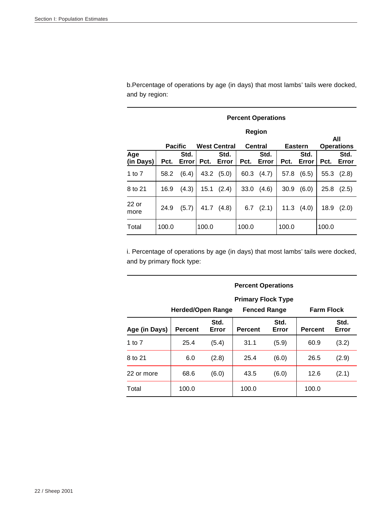b.Percentage of operations by age (in days) that most lambs' tails were docked, and by region:

|                  |       | <b>Percent Operations</b>                                                 |       |               |       |               |       |               |       |                          |  |
|------------------|-------|---------------------------------------------------------------------------|-------|---------------|-------|---------------|-------|---------------|-------|--------------------------|--|
|                  |       |                                                                           |       |               |       | Region        |       |               |       |                          |  |
|                  |       | <b>West Central</b><br><b>Central</b><br><b>Pacific</b><br><b>Eastern</b> |       |               |       |               |       |               |       | All<br><b>Operations</b> |  |
| Age<br>(in Days) | Pct.  | Std.<br>Error                                                             | Pct.  | Std.<br>Error | Pct.  | Std.<br>Error | Pct.  | Std.<br>Error | Pct.  | Std.<br>Error            |  |
| 1 to $7$         | 58.2  | (6.4)                                                                     | 43.2  | (5.0)         | 60.3  | (4.7)         | 57.8  | (6.5)         | 55.3  | (2.8)                    |  |
| 8 to 21          | 16.9  | (4.3)                                                                     | 15.1  | (2.4)         | 33.0  | (4.6)         | 30.9  | (6.0)         | 25.8  | (2.5)                    |  |
| $22$ or<br>more  | 24.9  | (5.7)                                                                     | 41.7  | (4.8)         | 6.7   | (2.1)         | 11.3  | (4.0)         | 18.9  | (2.0)                    |  |
| Total            | 100.0 |                                                                           | 100.0 |               | 100.0 |               | 100.0 |               | 100.0 |                          |  |

i. Percentage of operations by age (in days) that most lambs' tails were docked, and by primary flock type:

|               |                   |               | <b>Percent Operations</b> |               |                   |               |
|---------------|-------------------|---------------|---------------------------|---------------|-------------------|---------------|
|               |                   |               | <b>Primary Flock Type</b> |               |                   |               |
|               | Herded/Open Range |               | <b>Fenced Range</b>       |               | <b>Farm Flock</b> |               |
| Age (in Days) | <b>Percent</b>    | Std.<br>Error | <b>Percent</b>            | Std.<br>Error | <b>Percent</b>    | Std.<br>Error |
| 1 to $7$      | 25.4              | (5.4)         | 31.1                      | (5.9)         | 60.9              | (3.2)         |
| 8 to 21       | 6.0               | (2.8)         | 25.4                      | (6.0)         | 26.5              | (2.9)         |
| 22 or more    | 68.6              | (6.0)         | 43.5                      | (6.0)         | 12.6              | (2.1)         |
| Total         | 100.0             |               | 100.0                     |               | 100.0             |               |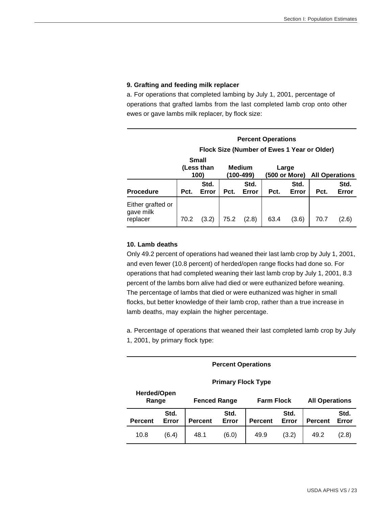#### **9. Grafting and feeding milk replacer**

a. For operations that completed lambing by July 1, 2001, percentage of operations that grafted lambs from the last completed lamb crop onto other ewes or gave lambs milk replacer, by flock size:

|                                            |                                    |               | Flock Size (Number of Ewes 1 Year or Older) |               |                        |               |                       |               |
|--------------------------------------------|------------------------------------|---------------|---------------------------------------------|---------------|------------------------|---------------|-----------------------|---------------|
|                                            | <b>Small</b><br>(Less than<br>100) |               | <b>Medium</b><br>(100-499)                  |               | Large<br>(500 or More) |               | <b>All Operations</b> |               |
| <b>Procedure</b>                           | Pct.                               | Std.<br>Error | Pct.                                        | Std.<br>Error | Pct.                   | Std.<br>Error | Pct.                  | Std.<br>Error |
| Either grafted or<br>gave milk<br>replacer | 70.2                               | (3.2)         | 75.2                                        | (2.8)         | 63.4                   | (3.6)         | 70.7                  | (2.6)         |

#### **10. Lamb deaths**

Only 49.2 percent of operations had weaned their last lamb crop by July 1, 2001, and even fewer (10.8 percent) of herded/open range flocks had done so. For operations that had completed weaning their last lamb crop by July 1, 2001, 8.3 percent of the lambs born alive had died or were euthanized before weaning. The percentage of lambs that died or were euthanized was higher in small flocks, but better knowledge of their lamb crop, rather than a true increase in lamb deaths, may explain the higher percentage.

a. Percentage of operations that weaned their last completed lamb crop by July 1, 2001, by primary flock type:

|                                                                  | <b>Percent Operations</b>                                                                                              |  |  |  |  |  |  |  |  |  |  |
|------------------------------------------------------------------|------------------------------------------------------------------------------------------------------------------------|--|--|--|--|--|--|--|--|--|--|
| <b>Primary Flock Type</b><br><b>Herded/Open</b>                  |                                                                                                                        |  |  |  |  |  |  |  |  |  |  |
|                                                                  | <b>All Operations</b><br>Range<br><b>Fenced Range</b><br><b>Farm Flock</b>                                             |  |  |  |  |  |  |  |  |  |  |
| <b>Percent</b>                                                   | Std.<br>Std.<br>Std.<br>Std.<br>Error<br>Error<br>Error<br>Error<br><b>Percent</b><br><b>Percent</b><br><b>Percent</b> |  |  |  |  |  |  |  |  |  |  |
| 10.8<br>48.1<br>(3.2)<br>(2.8)<br>(6.4)<br>49.9<br>49.2<br>(6.0) |                                                                                                                        |  |  |  |  |  |  |  |  |  |  |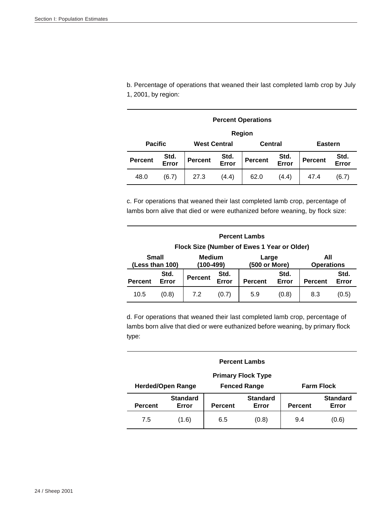b. Percentage of operations that weaned their last completed lamb crop by July 1, 2001, by region:

|                                                                                                                         | <b>Percent Operations</b> |                     |  |         |  |                |               |  |  |  |  |
|-------------------------------------------------------------------------------------------------------------------------|---------------------------|---------------------|--|---------|--|----------------|---------------|--|--|--|--|
|                                                                                                                         | Region                    |                     |  |         |  |                |               |  |  |  |  |
| <b>Pacific</b>                                                                                                          |                           | <b>West Central</b> |  | Central |  | <b>Eastern</b> |               |  |  |  |  |
| Std.<br>Std.<br>Std.<br><b>Percent</b><br><b>Percent</b><br><b>Percent</b><br><b>Percent</b><br>Error<br>Error<br>Error |                           |                     |  |         |  |                | Std.<br>Error |  |  |  |  |
| 48.0<br>(4.4)<br>27.3<br>62.0<br>(4.4)<br>47.4<br>(6.7)<br>(6.7)                                                        |                           |                     |  |         |  |                |               |  |  |  |  |

c. For operations that weaned their last completed lamb crop, percentage of lambs born alive that died or were euthanized before weaning, by flock size:

|                                                               | <b>Percent Lambs</b><br>Flock Size (Number of Ewes 1 Year or Older) |                            |               |                        |               |                          |               |  |  |  |  |
|---------------------------------------------------------------|---------------------------------------------------------------------|----------------------------|---------------|------------------------|---------------|--------------------------|---------------|--|--|--|--|
|                                                               | <b>Small</b><br>(Less than 100)                                     | <b>Medium</b><br>(100-499) |               | Large<br>(500 or More) |               | All<br><b>Operations</b> |               |  |  |  |  |
| Std.<br><b>Percent</b><br>Error<br><b>Percent</b>             |                                                                     |                            | Std.<br>Error | <b>Percent</b>         | Std.<br>Error | <b>Percent</b>           | Std.<br>Error |  |  |  |  |
| (0.8)<br>7.2<br>5.9<br>(0.8)<br>8.3<br>10.5<br>(0.5)<br>(0.7) |                                                                     |                            |               |                        |               |                          |               |  |  |  |  |

d. For operations that weaned their last completed lamb crop, percentage of lambs born alive that died or were euthanized before weaning, by primary flock type:

| <b>Percent Lambs</b>                                                                                                                   |                                                                      |  |  |  |  |  |  |  |  |  |
|----------------------------------------------------------------------------------------------------------------------------------------|----------------------------------------------------------------------|--|--|--|--|--|--|--|--|--|
| <b>Primary Flock Type</b>                                                                                                              |                                                                      |  |  |  |  |  |  |  |  |  |
|                                                                                                                                        | <b>Herded/Open Range</b><br><b>Farm Flock</b><br><b>Fenced Range</b> |  |  |  |  |  |  |  |  |  |
| <b>Standard</b><br><b>Standard</b><br><b>Standard</b><br>Error<br><b>Percent</b><br>Error<br><b>Percent</b><br>Error<br><b>Percent</b> |                                                                      |  |  |  |  |  |  |  |  |  |
|                                                                                                                                        |                                                                      |  |  |  |  |  |  |  |  |  |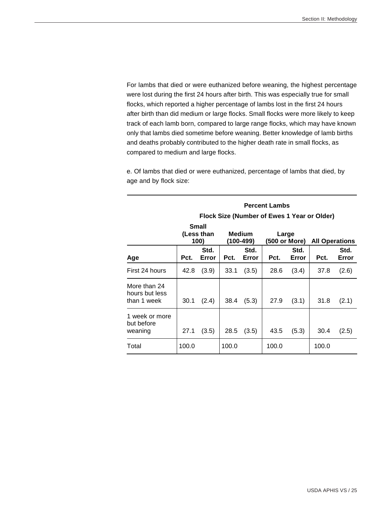For lambs that died or were euthanized before weaning, the highest percentage were lost during the first 24 hours after birth. This was especially true for small flocks, which reported a higher percentage of lambs lost in the first 24 hours after birth than did medium or large flocks. Small flocks were more likely to keep track of each lamb born, compared to large range flocks, which may have known only that lambs died sometime before weaning. Better knowledge of lamb births and deaths probably contributed to the higher death rate in small flocks, as compared to medium and large flocks.

e. Of lambs that died or were euthanized, percentage of lambs that died, by age and by flock size:

|                                               |       |                                    |       |                     | <b>Percent Lambs</b> |               |                                             |               |
|-----------------------------------------------|-------|------------------------------------|-------|---------------------|----------------------|---------------|---------------------------------------------|---------------|
|                                               |       |                                    |       |                     |                      |               | Flock Size (Number of Ewes 1 Year or Older) |               |
|                                               |       | <b>Small</b><br>(Less than<br>100) |       | Medium<br>(100-499) | Large                | (500 or More) | <b>All Operations</b>                       |               |
| Age                                           | Pct.  | Std.<br>Error                      | Pct.  | Std.<br>Error       | Pct.                 | Std.<br>Error | Pct.                                        | Std.<br>Error |
| First 24 hours                                | 42.8  | (3.9)                              | 33.1  | (3.5)               | 28.6                 | (3.4)         | 37.8                                        | (2.6)         |
| More than 24<br>hours but less<br>than 1 week | 30.1  | (2.4)                              | 38.4  | (5.3)               | 27.9                 | (3.1)         | 31.8                                        | (2.1)         |
| 1 week or more<br>but before<br>weaning       | 27.1  | (3.5)                              | 28.5  | (3.5)               | 43.5                 | (5.3)         | 30.4                                        | (2.5)         |
| Total                                         | 100.0 |                                    | 100.0 |                     | 100.0                |               | 100.0                                       |               |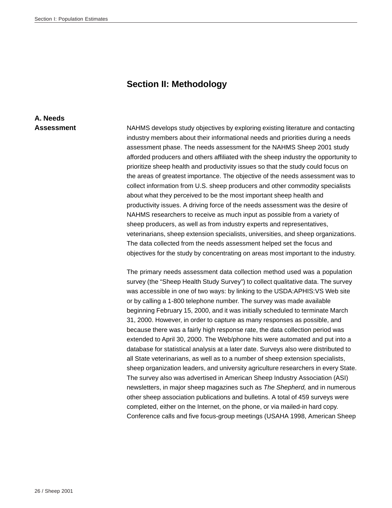#### **Section II: Methodology**

## **A. Needs**

Assessment NAHMS develops study objectives by exploring existing literature and contacting industry members about their informational needs and priorities during a needs assessment phase. The needs assessment for the NAHMS Sheep 2001 study afforded producers and others affiliated with the sheep industry the opportunity to prioritize sheep health and productivity issues so that the study could focus on the areas of greatest importance. The objective of the needs assessment was to collect information from U.S. sheep producers and other commodity specialists about what they perceived to be the most important sheep health and productivity issues. A driving force of the needs assessment was the desire of NAHMS researchers to receive as much input as possible from a variety of sheep producers, as well as from industry experts and representatives, veterinarians, sheep extension specialists, universities, and sheep organizations. The data collected from the needs assessment helped set the focus and objectives for the study by concentrating on areas most important to the industry.

> The primary needs assessment data collection method used was a population survey (the "Sheep Health Study Survey") to collect qualitative data. The survey was accessible in one of two ways: by linking to the USDA:APHIS:VS Web site or by calling a 1-800 telephone number. The survey was made available beginning February 15, 2000, and it was initially scheduled to terminate March 31, 2000. However, in order to capture as many responses as possible, and because there was a fairly high response rate, the data collection period was extended to April 30, 2000. The Web/phone hits were automated and put into a database for statistical analysis at a later date. Surveys also were distributed to all State veterinarians, as well as to a number of sheep extension specialists, sheep organization leaders, and university agriculture researchers in every State. The survey also was advertised in American Sheep Industry Association (ASI) newsletters, in major sheep magazines such as *The Shepherd,* and in numerous other sheep association publications and bulletins. A total of 459 surveys were completed, either on the Internet, on the phone, or via mailed-in hard copy. Conference calls and five focus-group meetings (USAHA 1998, American Sheep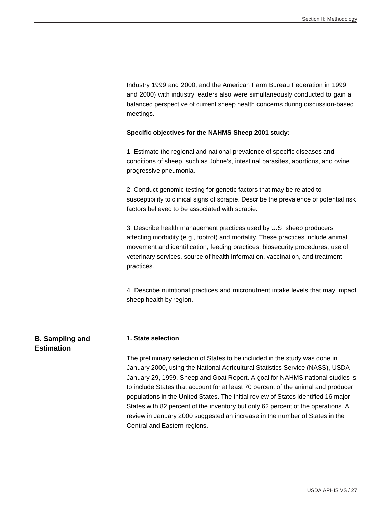Industry 1999 and 2000, and the American Farm Bureau Federation in 1999 and 2000) with industry leaders also were simultaneously conducted to gain a balanced perspective of current sheep health concerns during discussion-based meetings.

#### **Specific objectives for the NAHMS Sheep 2001 study:**

1. Estimate the regional and national prevalence of specific diseases and conditions of sheep, such as Johne's, intestinal parasites, abortions, and ovine progressive pneumonia.

2. Conduct genomic testing for genetic factors that may be related to susceptibility to clinical signs of scrapie. Describe the prevalence of potential risk factors believed to be associated with scrapie.

3. Describe health management practices used by U.S. sheep producers affecting morbidity (e.g., footrot) and mortality. These practices include animal movement and identification, feeding practices, biosecurity procedures, use of veterinary services, source of health information, vaccination, and treatment practices.

4. Describe nutritional practices and micronutrient intake levels that may impact sheep health by region.

#### **B. Sampling and 1. State selection**

**Estimation**

The preliminary selection of States to be included in the study was done in January 2000, using the National Agricultural Statistics Service (NASS), USDA January 29, 1999, Sheep and Goat Report. A goal for NAHMS national studies is to include States that account for at least 70 percent of the animal and producer populations in the United States. The initial review of States identified 16 major States with 82 percent of the inventory but only 62 percent of the operations. A review in January 2000 suggested an increase in the number of States in the Central and Eastern regions.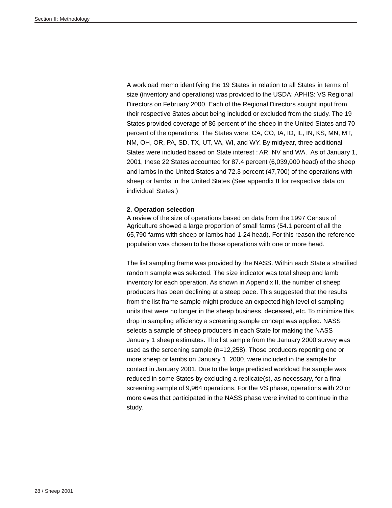A workload memo identifying the 19 States in relation to all States in terms of size (inventory and operations) was provided to the USDA: APHIS: VS Regional Directors on February 2000. Each of the Regional Directors sought input from their respective States about being included or excluded from the study. The 19 States provided coverage of 86 percent of the sheep in the United States and 70 percent of the operations. The States were: CA, CO, IA, ID, IL, IN, KS, MN, MT, NM, OH, OR, PA, SD, TX, UT, VA, WI, and WY. By midyear, three additional States were included based on State interest : AR, NV and WA. As of January 1, 2001, these 22 States accounted for 87.4 percent (6,039,000 head) of the sheep and lambs in the United States and 72.3 percent (47,700) of the operations with sheep or lambs in the United States (See appendix II for respective data on individual States.)

#### **2. Operation selection**

A review of the size of operations based on data from the 1997 Census of Agriculture showed a large proportion of small farms (54.1 percent of all the 65,790 farms with sheep or lambs had 1-24 head). For this reason the reference population was chosen to be those operations with one or more head.

The list sampling frame was provided by the NASS. Within each State a stratified random sample was selected. The size indicator was total sheep and lamb inventory for each operation. As shown in Appendix II, the number of sheep producers has been declining at a steep pace. This suggested that the results from the list frame sample might produce an expected high level of sampling units that were no longer in the sheep business, deceased, etc. To minimize this drop in sampling efficiency a screening sample concept was applied. NASS selects a sample of sheep producers in each State for making the NASS January 1 sheep estimates. The list sample from the January 2000 survey was used as the screening sample (n=12,258). Those producers reporting one or more sheep or lambs on January 1, 2000, were included in the sample for contact in January 2001. Due to the large predicted workload the sample was reduced in some States by excluding a replicate(s), as necessary, for a final screening sample of 9,964 operations. For the VS phase, operations with 20 or more ewes that participated in the NASS phase were invited to continue in the study.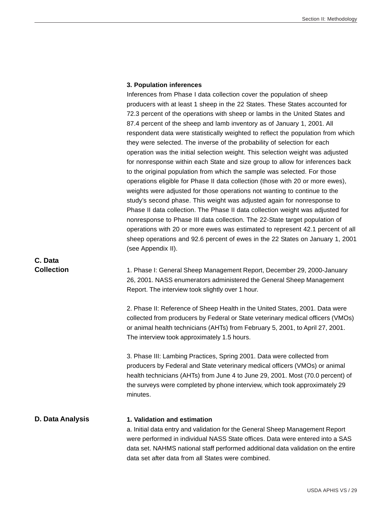#### **3. Population inferences**

Inferences from Phase I data collection cover the population of sheep producers with at least 1 sheep in the 22 States. These States accounted for 72.3 percent of the operations with sheep or lambs in the United States and 87.4 percent of the sheep and lamb inventory as of January 1, 2001. All respondent data were statistically weighted to reflect the population from which they were selected. The inverse of the probability of selection for each operation was the initial selection weight. This selection weight was adjusted for nonresponse within each State and size group to allow for inferences back to the original population from which the sample was selected. For those operations eligible for Phase II data collection (those with 20 or more ewes), weights were adjusted for those operations not wanting to continue to the study's second phase. This weight was adjusted again for nonresponse to Phase II data collection. The Phase II data collection weight was adjusted for nonresponse to Phase III data collection. The 22-State target population of operations with 20 or more ewes was estimated to represent 42.1 percent of all sheep operations and 92.6 percent of ewes in the 22 States on January 1, 2001 (see Appendix II).

**Collection** 1. Phase I: General Sheep Management Report, December 29, 2000-January 26, 2001. NASS enumerators administered the General Sheep Management Report. The interview took slightly over 1 hour.

> 2. Phase II: Reference of Sheep Health in the United States, 2001. Data were collected from producers by Federal or State veterinary medical officers (VMOs) or animal health technicians (AHTs) from February 5, 2001, to April 27, 2001. The interview took approximately 1.5 hours.

> 3. Phase III: Lambing Practices, Spring 2001. Data were collected from producers by Federal and State veterinary medical officers (VMOs) or animal health technicians (AHTs) from June 4 to June 29, 2001. Most (70.0 percent) of the surveys were completed by phone interview, which took approximately 29 minutes.

#### **D. Data Analysis 1. Validation and estimation**

a. Initial data entry and validation for the General Sheep Management Report were performed in individual NASS State offices. Data were entered into a SAS data set. NAHMS national staff performed additional data validation on the entire data set after data from all States were combined.

## **C. Data**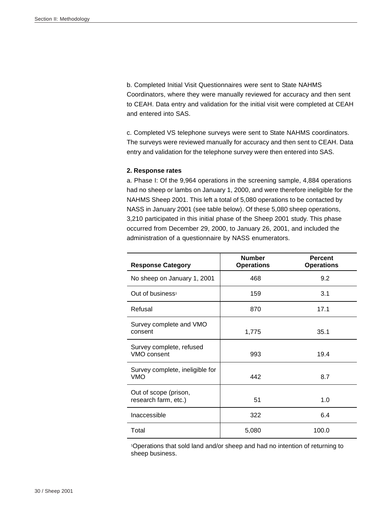b. Completed Initial Visit Questionnaires were sent to State NAHMS Coordinators, where they were manually reviewed for accuracy and then sent to CEAH. Data entry and validation for the initial visit were completed at CEAH and entered into SAS.

c. Completed VS telephone surveys were sent to State NAHMS coordinators. The surveys were reviewed manually for accuracy and then sent to CEAH. Data entry and validation for the telephone survey were then entered into SAS.

#### **2. Response rates**

a. Phase I: Of the 9,964 operations in the screening sample, 4,884 operations had no sheep or lambs on January 1, 2000, and were therefore ineligible for the NAHMS Sheep 2001. This left a total of 5,080 operations to be contacted by NASS in January 2001 (see table below). Of these 5,080 sheep operations, 3,210 participated in this initial phase of the Sheep 2001 study. This phase occurred from December 29, 2000, to January 26, 2001, and included the administration of a questionnaire by NASS enumerators.

| <b>Response Category</b>                      | <b>Number</b><br><b>Operations</b> | <b>Percent</b><br><b>Operations</b> |
|-----------------------------------------------|------------------------------------|-------------------------------------|
| No sheep on January 1, 2001                   | 468                                | 9.2                                 |
| Out of business <sup>1</sup>                  | 159                                | 3.1                                 |
| Refusal                                       | 870                                | 17.1                                |
| Survey complete and VMO<br>consent            | 1,775                              | 35.1                                |
| Survey complete, refused<br>VMO consent       | 993                                | 19.4                                |
| Survey complete, ineligible for<br><b>VMO</b> | 442                                | 8.7                                 |
| Out of scope (prison,<br>research farm, etc.) | 51                                 | 1.0                                 |
| Inaccessible                                  | 322                                | 6.4                                 |
| Total                                         | 5,080                              | 100.0                               |

1Operations that sold land and/or sheep and had no intention of returning to sheep business.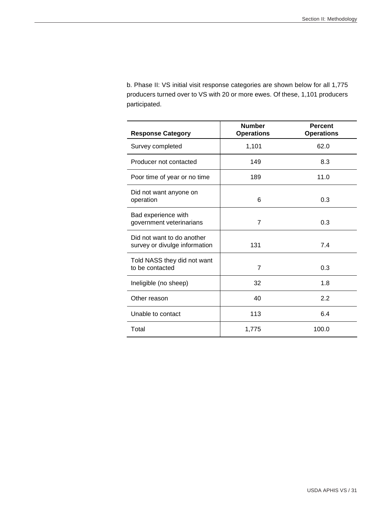b. Phase II: VS initial visit response categories are shown below for all 1,775 producers turned over to VS with 20 or more ewes. Of these, 1,101 producers participated.

| <b>Response Category</b>                                    | <b>Number</b><br><b>Operations</b> | <b>Percent</b><br><b>Operations</b> |
|-------------------------------------------------------------|------------------------------------|-------------------------------------|
| Survey completed                                            | 1,101                              | 62.0                                |
| Producer not contacted                                      | 149                                | 8.3                                 |
| Poor time of year or no time                                | 189                                | 11.0                                |
| Did not want anyone on<br>operation                         | 6                                  | 0.3                                 |
| Bad experience with<br>government veterinarians             | 7                                  | 0.3                                 |
| Did not want to do another<br>survey or divulge information | 131                                | 7.4                                 |
| Told NASS they did not want<br>to be contacted              | 7                                  | 0.3                                 |
| Ineligible (no sheep)                                       | 32                                 | 1.8                                 |
| Other reason                                                | 40                                 | 2.2                                 |
| Unable to contact                                           | 113                                | 6.4                                 |
| Total                                                       | 1,775                              | 100.0                               |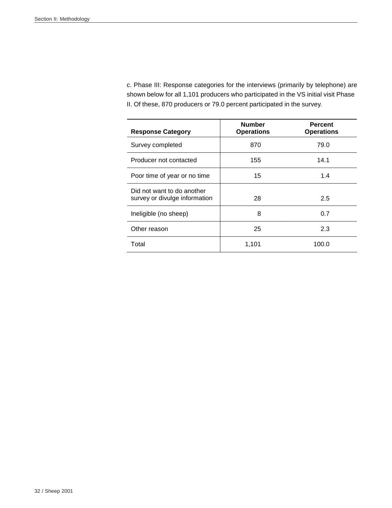c. Phase III: Response categories for the interviews (primarily by telephone) are shown below for all 1,101 producers who participated in the VS initial visit Phase II. Of these, 870 producers or 79.0 percent participated in the survey.

| <b>Response Category</b>                                    | <b>Number</b><br><b>Operations</b> | <b>Percent</b><br><b>Operations</b> |
|-------------------------------------------------------------|------------------------------------|-------------------------------------|
| Survey completed                                            | 870                                | 79.0                                |
| Producer not contacted                                      | 155                                | 14.1                                |
| Poor time of year or no time                                | 15                                 | 1.4                                 |
| Did not want to do another<br>survey or divulge information | 28                                 | 2.5                                 |
| Ineligible (no sheep)                                       | 8                                  | 0.7                                 |
| Other reason                                                | 25                                 | 2.3                                 |
| Total                                                       | 1,101                              | 100.0                               |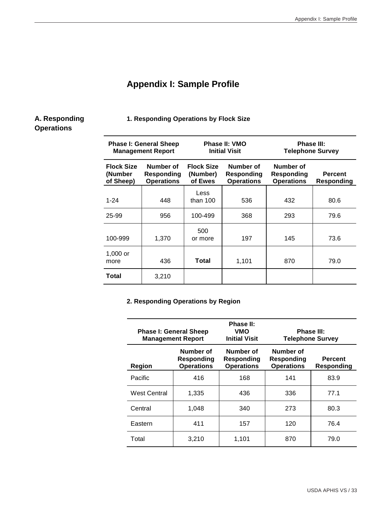### **Appendix I: Sample Profile**

#### **A. Responding Operations**

#### **1. Responding Operations by Flock Size**

|                                           | <b>Phase I: General Sheep</b><br><b>Management Report</b> |                                          | Phase II: VMO<br>Phase III:<br><b>Initial Visit</b><br><b>Telephone Survey</b> |                                              |                              |
|-------------------------------------------|-----------------------------------------------------------|------------------------------------------|--------------------------------------------------------------------------------|----------------------------------------------|------------------------------|
| <b>Flock Size</b><br>(Number<br>of Sheep) | Number of<br>Responding<br><b>Operations</b>              | <b>Flock Size</b><br>(Number)<br>of Ewes | Number of<br>Responding<br><b>Operations</b>                                   | Number of<br>Responding<br><b>Operations</b> | <b>Percent</b><br>Responding |
| $1 - 24$                                  | 448                                                       | Less<br>than $100$                       | 536                                                                            | 432                                          | 80.6                         |
| 25-99                                     | 956                                                       | 100-499                                  | 368                                                                            | 293                                          | 79.6                         |
| 100-999                                   | 1,370                                                     | 500<br>or more                           | 197                                                                            | 145                                          | 73.6                         |
| 1,000 or<br>more                          | 436                                                       | Total                                    | 1,101                                                                          | 870                                          | 79.0                         |
| Total                                     | 3,210                                                     |                                          |                                                                                |                                              |                              |

#### **2. Responding Operations by Region**

| <b>Phase I: General Sheep</b><br><b>Management Report</b> |                                              | Phase II:<br>VMO<br><b>Initial Visit</b>     |                                              | Phase III:<br><b>Telephone Survey</b> |
|-----------------------------------------------------------|----------------------------------------------|----------------------------------------------|----------------------------------------------|---------------------------------------|
| <b>Region</b>                                             | Number of<br>Responding<br><b>Operations</b> | Number of<br>Responding<br><b>Operations</b> | Number of<br>Responding<br><b>Operations</b> | <b>Percent</b><br><b>Responding</b>   |
| Pacific                                                   | 416                                          | 168                                          | 141                                          | 83.9                                  |
| West Central                                              | 1,335                                        | 436                                          | 336                                          | 77.1                                  |
| Central                                                   | 1,048                                        | 340                                          | 273                                          | 80.3                                  |
| Eastern                                                   | 411                                          | 157                                          | 120                                          | 76.4                                  |
| Total                                                     | 3,210                                        | 1,101                                        | 870                                          | 79.0                                  |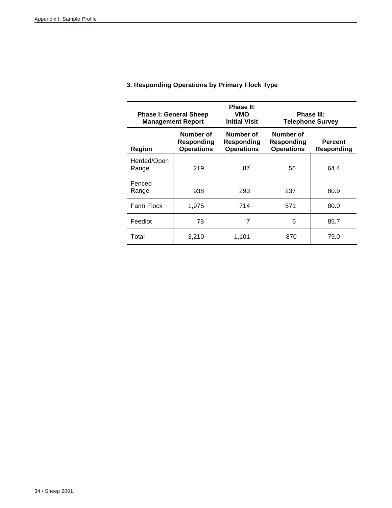| <b>Phase I: General Sheep</b><br><b>Management Report</b> |                                              | Phase II:<br>VMO<br><b>Initial Visit</b>     |                                                                              | Phase III:<br><b>Telephone Survey</b> |
|-----------------------------------------------------------|----------------------------------------------|----------------------------------------------|------------------------------------------------------------------------------|---------------------------------------|
| Region                                                    | Number of<br>Responding<br><b>Operations</b> | Number of<br>Responding<br><b>Operations</b> | Number of<br><b>Percent</b><br>Responding<br><b>Operations</b><br>Responding |                                       |
| Herded/Open<br>Range                                      | 219                                          | 87                                           | 56                                                                           | 64.4                                  |
| Fenced<br>Range                                           | 938                                          | 293                                          | 237                                                                          | 80.9                                  |
| Farm Flock                                                | 1,975                                        | 714                                          | 571                                                                          | 80.0                                  |
| Feedlot                                                   | 78                                           | 7                                            | 6                                                                            | 85.7                                  |
| Total                                                     | 3,210                                        | 1,101                                        | 870                                                                          | 79.0                                  |

#### **3. Responding Operations by Primary Flock Type**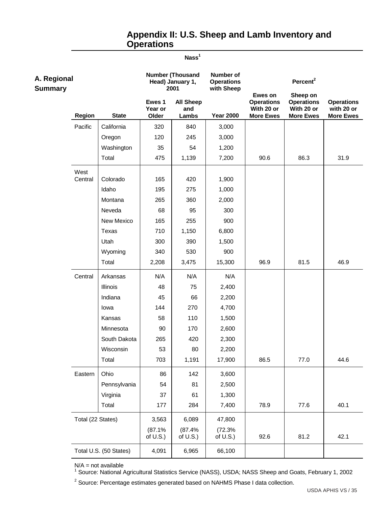### **Appendix II: U.S. Sheep and Lamb Inventory and Operations**

#### **Nass1**

| A. Regional<br><b>Summary</b> |                   |                        |                            | <b>Number (Thousand</b><br>Head) January 1,<br>2001 | Number of<br><b>Operations</b><br>with Sheep |                                                                | Percent <sup>2</sup>                                            |                                                     |
|-------------------------------|-------------------|------------------------|----------------------------|-----------------------------------------------------|----------------------------------------------|----------------------------------------------------------------|-----------------------------------------------------------------|-----------------------------------------------------|
|                               | <b>Region</b>     | <b>State</b>           | Ewes 1<br>Year or<br>Older | <b>All Sheep</b><br>and<br>Lambs                    | <b>Year 2000</b>                             | Ewes on<br><b>Operations</b><br>With 20 or<br><b>More Ewes</b> | Sheep on<br><b>Operations</b><br>With 20 or<br><b>More Ewes</b> | <b>Operations</b><br>with 20 or<br><b>More Ewes</b> |
|                               | Pacific           | California             | 320                        | 840                                                 | 3,000                                        |                                                                |                                                                 |                                                     |
|                               |                   | Oregon                 | 120                        | 245                                                 | 3,000                                        |                                                                |                                                                 |                                                     |
|                               |                   | Washington             | 35                         | 54                                                  | 1,200                                        |                                                                |                                                                 |                                                     |
|                               |                   | Total                  | 475                        | 1,139                                               | 7,200                                        | 90.6                                                           | 86.3                                                            | 31.9                                                |
|                               | West<br>Central   | Colorado               | 165                        | 420                                                 | 1,900                                        |                                                                |                                                                 |                                                     |
|                               |                   | Idaho                  | 195                        | 275                                                 | 1,000                                        |                                                                |                                                                 |                                                     |
|                               |                   | Montana                | 265                        | 360                                                 | 2,000                                        |                                                                |                                                                 |                                                     |
|                               |                   | Neveda                 | 68                         | 95                                                  | 300                                          |                                                                |                                                                 |                                                     |
|                               |                   | New Mexico             | 165                        | 255                                                 | 900                                          |                                                                |                                                                 |                                                     |
|                               |                   | Texas                  | 710                        | 1,150                                               | 6,800                                        |                                                                |                                                                 |                                                     |
|                               |                   | Utah                   | 300                        | 390                                                 | 1,500                                        |                                                                |                                                                 |                                                     |
|                               |                   | Wyoming                | 340                        | 530                                                 | 900                                          |                                                                |                                                                 |                                                     |
|                               |                   | Total                  | 2,208                      | 3,475                                               | 15,300                                       | 96.9                                                           | 81.5                                                            | 46.9                                                |
|                               | Central           | Arkansas               | N/A                        | N/A                                                 | N/A                                          |                                                                |                                                                 |                                                     |
|                               |                   | Illinois               | 48                         | 75                                                  | 2,400                                        |                                                                |                                                                 |                                                     |
|                               |                   | Indiana                | 45                         | 66                                                  | 2,200                                        |                                                                |                                                                 |                                                     |
|                               |                   | lowa                   | 144                        | 270                                                 | 4,700                                        |                                                                |                                                                 |                                                     |
|                               |                   | Kansas                 | 58                         | 110                                                 | 1,500                                        |                                                                |                                                                 |                                                     |
|                               |                   | Minnesota              | 90                         | 170                                                 | 2,600                                        |                                                                |                                                                 |                                                     |
|                               |                   | South Dakota           | 265                        | 420                                                 | 2,300                                        |                                                                |                                                                 |                                                     |
|                               |                   | Wisconsin              | 53                         | 80                                                  | 2,200                                        |                                                                |                                                                 |                                                     |
|                               |                   | Total                  | 703                        | 1,191                                               | 17,900                                       | 86.5                                                           | 77.0                                                            | 44.6                                                |
|                               | Eastern           | Ohio                   | 86                         | 142                                                 | 3,600                                        |                                                                |                                                                 |                                                     |
|                               |                   | Pennsylvania           | 54                         | 81                                                  | 2,500                                        |                                                                |                                                                 |                                                     |
|                               |                   | Virginia               | 37                         | 61                                                  | 1,300                                        |                                                                |                                                                 |                                                     |
|                               |                   | Total                  | 177                        | 284                                                 | 7,400                                        | 78.9                                                           | 77.6                                                            | 40.1                                                |
|                               | Total (22 States) |                        | 3,563                      | 6,089                                               | 47,800                                       |                                                                |                                                                 |                                                     |
|                               |                   |                        | (87.1%<br>of $U.S.$ )      | (87.4%<br>of $U.S.$ )                               | (72.3%<br>of $U.S.$ )                        | 92.6                                                           | 81.2                                                            | 42.1                                                |
|                               |                   | Total U.S. (50 States) | 4,091                      | 6,965                                               | 66,100                                       |                                                                |                                                                 |                                                     |

N/A = not available<br><sup>1</sup> Source: National Agricultural Statistics Service (NASS), USDA; NASS Sheep and Goats, February 1, 2002

 $2$  Source: Percentage estimates generated based on NAHMS Phase I data collection.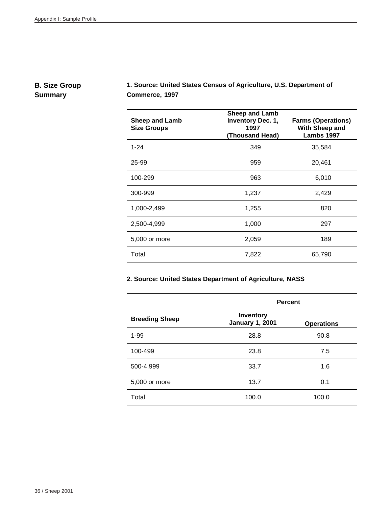#### **B. Size Group Summary**

**1. Source: United States Census of Agriculture, U.S. Department of Commerce, 1997**

| <b>Sheep and Lamb</b><br><b>Size Groups</b> | <b>Sheep and Lamb</b><br>Inventory Dec. 1,<br>1997<br>(Thousand Head) | <b>Farms (Operations)</b><br>With Sheep and<br>Lambs 1997 |
|---------------------------------------------|-----------------------------------------------------------------------|-----------------------------------------------------------|
| $1 - 24$                                    | 349                                                                   | 35,584                                                    |
| 25-99                                       | 959                                                                   | 20,461                                                    |
| 100-299                                     | 963                                                                   | 6,010                                                     |
| 300-999                                     | 1,237                                                                 | 2,429                                                     |
| 1,000-2,499                                 | 1,255                                                                 | 820                                                       |
| 2,500-4,999                                 | 1,000                                                                 | 297                                                       |
| 5,000 or more                               | 2,059                                                                 | 189                                                       |
| Total                                       | 7,822                                                                 | 65,790                                                    |

#### **2. Source: United States Department of Agriculture, NASS**

|                       | <b>Percent</b>                      |                   |  |
|-----------------------|-------------------------------------|-------------------|--|
| <b>Breeding Sheep</b> | Inventory<br><b>January 1, 2001</b> | <b>Operations</b> |  |
| $1 - 99$              | 28.8                                | 90.8              |  |
| 100-499               | 23.8                                | 7.5               |  |
| 500-4,999             | 33.7                                | 1.6               |  |
| 5,000 or more         | 13.7                                | 0.1               |  |
| Total                 | 100.0                               | 100.0             |  |